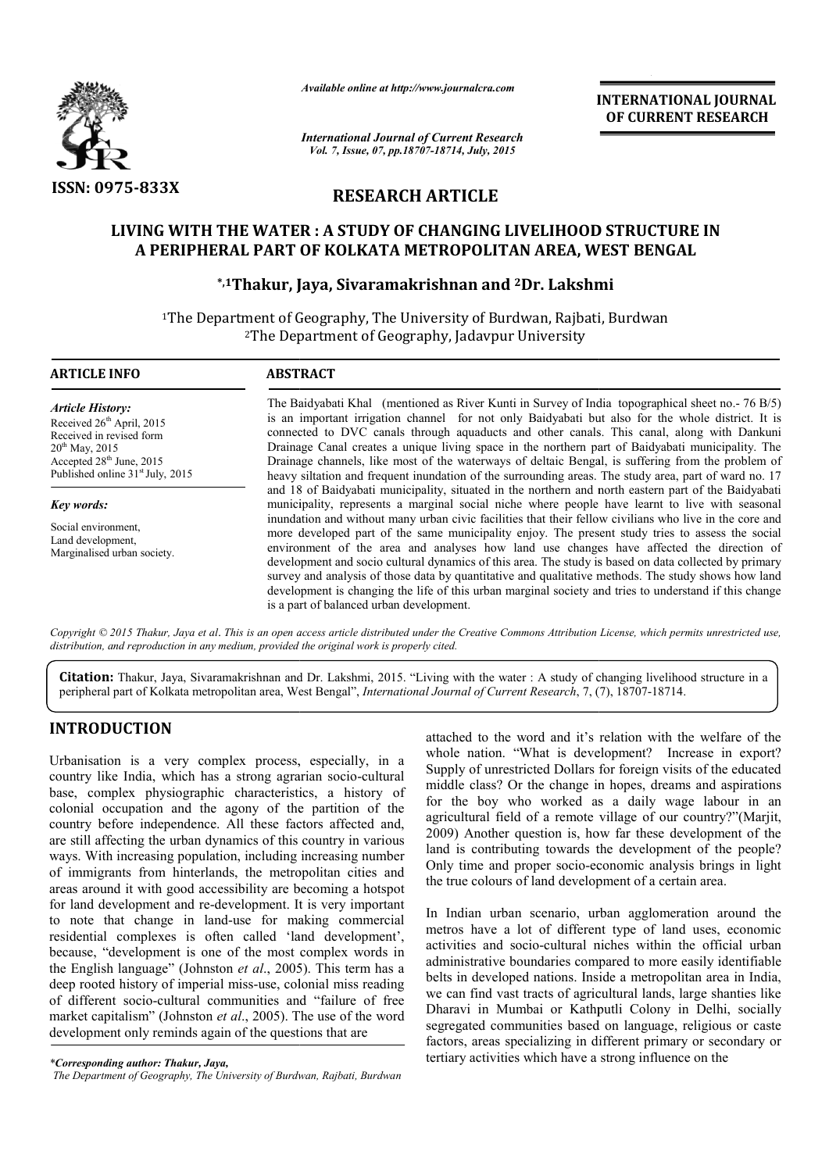

*Available online at http://www.journalcra.com*

*International Journal of Current Research Vol. 7, Issue, 07, pp.18707-18714, July, 2015*

INTERNATIONAL INTERNATIONAL JOURNAL OF CURRENT RESEARCH

# RESEARCH ARTICLE

# LIVING WITH THE WATER : A STUDY OF CHANGING LIVELIHOOD STRUCTURE IN A PERIPHERAL PART OF KOLKATA METROPOLITAN AREA, WEST BENGAL WITH THE WATER : A STUDY OF CHANGING LIVELIHOOD<br>RIPHERAL PART OF KOLKATA METROPOLITAN AREA, WI:<br>\*<sup>,1</sup>Thakur, Jaya, Sivaramakrishnan and <sup>2</sup>Dr. Lakshm

## \*,1Thakur, Jaya, Sivaramakrishnan and Thakur, 2Dr. Lakshmi

<sup>1</sup>The Department of Geography, The University of Burdwan, Rajbati, Burdwan<sup>2</sup>The Department of Geography, Jadavpur University 2The Department of Geography, Jadavpur University

| <b>ARTICLE INFO</b>                                                                                                                                                                               | <b>ABSTRACT</b>                                                                                                                                                                                                                                                                                                                                                                                                                                                                                                                                                                                                                                                               |  |  |
|---------------------------------------------------------------------------------------------------------------------------------------------------------------------------------------------------|-------------------------------------------------------------------------------------------------------------------------------------------------------------------------------------------------------------------------------------------------------------------------------------------------------------------------------------------------------------------------------------------------------------------------------------------------------------------------------------------------------------------------------------------------------------------------------------------------------------------------------------------------------------------------------|--|--|
| <b>Article History:</b><br>Received $26th$ April, 2015<br>Received in revised form<br>$20^{th}$ May, 2015<br>Accepted 28 <sup>th</sup> June, 2015<br>Published online 31 <sup>st</sup> July, 2015 | The Baidyabati Khal (mentioned as River Kunti in Survey of India topographical sheet no. - 76 B/5)<br>is an important irrigation channel for not only Baidyabati but also for the whole district. It is<br>connected to DVC canals through aquaducts and other canals. This canal, along with Dankuni<br>Drainage Canal creates a unique living space in the northern part of Baidyabati municipality. The<br>Drainage channels, like most of the waterways of deltaic Bengal, is suffering from the problem of<br>heavy siltation and frequent inundation of the surrounding areas. The study area, part of ward no. 17                                                      |  |  |
|                                                                                                                                                                                                   | and 18 of Baidyabati municipality, situated in the northern and north eastern part of the Baidyabati                                                                                                                                                                                                                                                                                                                                                                                                                                                                                                                                                                          |  |  |
| Key words:                                                                                                                                                                                        | municipality, represents a marginal social niche where people have learnt to live with seasonal                                                                                                                                                                                                                                                                                                                                                                                                                                                                                                                                                                               |  |  |
| Social environment,<br>Land development,<br>Marginalised urban society.                                                                                                                           | inundation and without many urban civic facilities that their fellow civilians who live in the core and<br>more developed part of the same municipality enjoy. The present study tries to assess the social<br>environment of the area and analyses how land use changes have affected the direction of<br>development and socio cultural dynamics of this area. The study is based on data collected by primary<br>survey and analysis of those data by quantitative and qualitative methods. The study shows how land<br>development is changing the life of this urban marginal society and tries to understand if this change<br>is a part of balanced urban development. |  |  |

Copyright © 2015 Thakur, Jaya et al. This is an open access article distributed under the Creative Commons Attribution License, which permits unrestricted use, *distribution, and reproduction in any medium, provided the original work is properly cited.*

Citation: Thakur, Jaya, Sivaramakrishnan and Dr. Lakshmi, 2015. "Living with the water : A study of changing livelihood structure in a peripheral part of Kolkata metropolitan area, West Bengal", *International Journal of C* peripheral part of Kolkata metropolitan area, West Bengal", *International Journal of Current Research*, 7, (

# INTRODUCTION

Urbanisation is a very complex process, especially, in a country like India, which has a strong agrarian socio-cultural base, complex physiographic characteristics, a history of colonial occupation and the agony of the partition of the country before independence. All these factors affected and, are still affecting the urban dynamics of this country in various ways. With increasing population, including increasing number of immigrants from hinterlands, the metropolitan cities and areas around it with good accessibility are becoming a hotspot for land development and re-development. It is very important to note that change in land-use for making commercial of immigrants from hinterlands, the metropolitan cities and<br>areas around it with good accessibility are becoming a hotspot<br>for land development and re-development. It is very important<br>to note that change in land-use for m because, "development is one of the most complex words in the English language" (Johnston *et al*., 2005). This term has a deep rooted history of imperial miss-use, colonial miss reading deep rooted history of imperial miss-use, colonial miss reading<br>of different socio-cultural communities and "failure of free market capitalism" (Johnston *et al*., 2005). The use of the word development only reminds again of the questions that are

attached to the word and it's relation with the welfare of the whole nation. "What is development? Increase in export? Supply of unrestricted Dollars for foreign visits of the educated middle class? Or the change in hopes, dreams and aspirations for the boy who worked as a daily wage labour in an agricultural field of a remote village of our country?"(Marjit, 2009) Another question is, how far these development of the land is contributing towards the development of the people? land is contributing towards the development of the people?<br>Only time and proper socio-economic analysis brings in light the true colours of land development of a certain area.

In Indian urban scenario, urban agglomeration around the metros have a lot of different type of land uses, economic activities and socio-cultural niches within the official u administrative boundaries compared to more easily identifiable belts in developed nations. Inside a metropolitan area in India, belts in developed nations. Inside a metropolitan area in India, we can find vast tracts of agricultural lands, large shanties like Dharavi in Mumbai or Kathputli Colony in Delhi, socially Dharavi in Mumbai or Kathputli Colony in Delhi, socially segregated communities based on language, religious or caste factors, areas specializing in different primary or secondary or tertiary activities which have a strong influence on the true colours of land development of a certain area.<br>Indian urban scenario, urban agglomeration around the<br>ros have a lot of different type of land uses, economic<br>vities and socio-cultural niches within the official urban

*<sup>\*</sup>Corresponding author: Thakur, Jaya,*

*The Department of Geography, The University of Burdwan, Rajbati, Burdwan*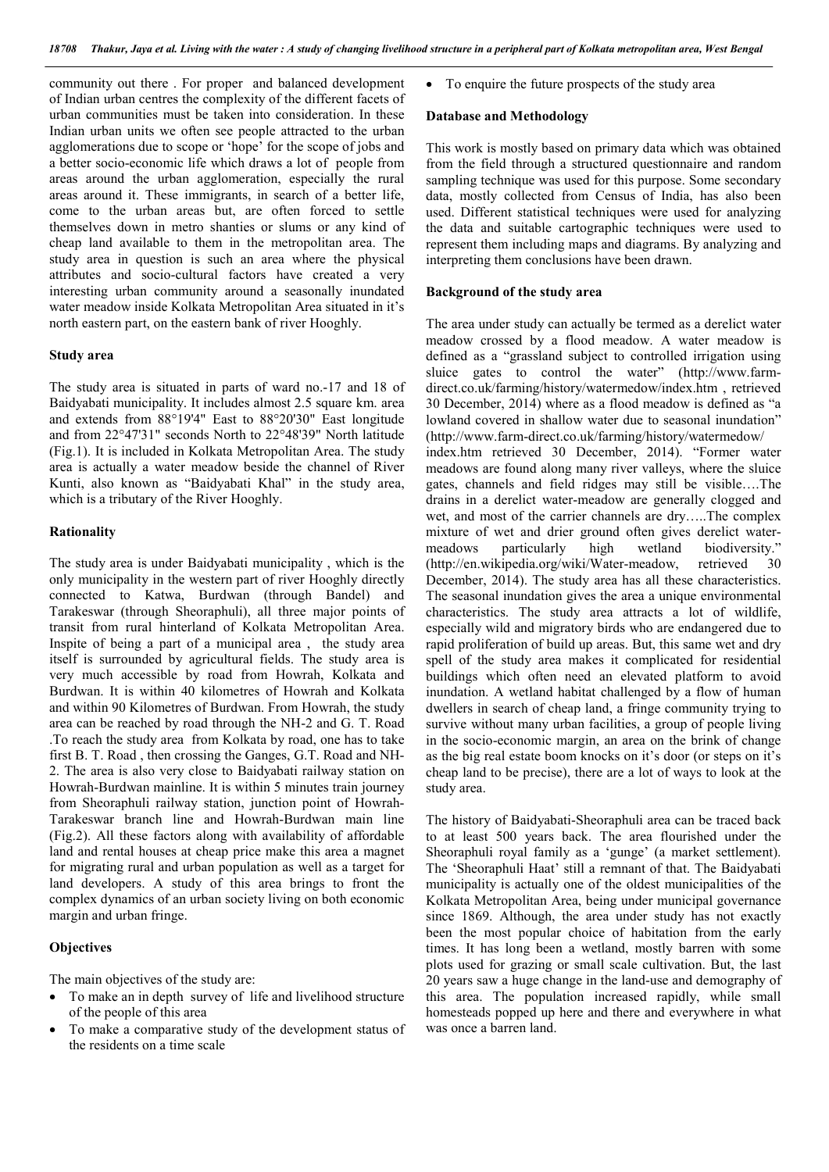community out there . For proper and balanced development of Indian urban centres the complexity of the different facets of urban communities must be taken into consideration. In these Indian urban units we often see people attracted to the urban agglomerations due to scope or 'hope' for the scope of jobs and a better socio-economic life which draws a lot of people from areas around the urban agglomeration, especially the rural areas around it. These immigrants, in search of a better life, come to the urban areas but, are often forced to settle themselves down in metro shanties or slums or any kind of cheap land available to them in the metropolitan area. The study area in question is such an area where the physical attributes and socio-cultural factors have created a very interesting urban community around a seasonally inundated water meadow inside Kolkata Metropolitan Area situated in it's north eastern part, on the eastern bank of river Hooghly.

### Study area

The study area is situated in parts of ward no.-17 and 18 of Baidyabati municipality. It includes almost 2.5 square km. area and extends from 88°19'4" East to 88°20'30" East longitude and from 22°47'31" seconds North to 22°48'39" North latitude (Fig.1). It is included in Kolkata Metropolitan Area. The study area is actually a water meadow beside the channel of River Kunti, also known as "Baidyabati Khal" in the study area, which is a tributary of the River Hooghly.

#### **Rationality**

The study area is under Baidyabati municipality , which is the only municipality in the western part of river Hooghly directly connected to Katwa, Burdwan (through Bandel) and Tarakeswar (through Sheoraphuli), all three major points of transit from rural hinterland of Kolkata Metropolitan Area. Inspite of being a part of a municipal area , the study area itself is surrounded by agricultural fields. The study area is very much accessible by road from Howrah, Kolkata and Burdwan. It is within 40 kilometres of Howrah and Kolkata and within 90 Kilometres of Burdwan. From Howrah, the study area can be reached by road through the NH-2 and G. T. Road .To reach the study area from Kolkata by road, one has to take first B. T. Road , then crossing the Ganges, G.T. Road and NH-2. The area is also very close to Baidyabati railway station on Howrah-Burdwan mainline. It is within 5 minutes train journey from Sheoraphuli railway station, junction point of Howrah-Tarakeswar branch line and Howrah-Burdwan main line (Fig.2). All these factors along with availability of affordable land and rental houses at cheap price make this area a magnet for migrating rural and urban population as well as a target for land developers. A study of this area brings to front the complex dynamics of an urban society living on both economic margin and urban fringe.

#### **Objectives**

The main objectives of the study are:

- To make an in depth survey of life and livelihood structure of the people of this area
- To make a comparative study of the development status of the residents on a time scale

To enquire the future prospects of the study area

#### Database and Methodology

This work is mostly based on primary data which was obtained from the field through a structured questionnaire and random sampling technique was used for this purpose. Some secondary data, mostly collected from Census of India, has also been used. Different statistical techniques were used for analyzing the data and suitable cartographic techniques were used to represent them including maps and diagrams. By analyzing and interpreting them conclusions have been drawn.

#### Background of the study area

The area under study can actually be termed as a derelict water meadow crossed by a flood meadow. A water meadow is defined as a "grassland subject to controlled irrigation using sluice gates to control the water" (http://www.farmdirect.co.uk/farming/history/watermedow/index.htm , retrieved 30 December, 2014) where as a flood meadow is defined as "a lowland covered in shallow water due to seasonal inundation" (http://www.farm-direct.co.uk/farming/history/watermedow/ index.htm retrieved 30 December, 2014). "Former water meadows are found along many river valleys, where the sluice gates, channels and field ridges may still be visible….The drains in a derelict water-meadow are generally clogged and wet, and most of the carrier channels are dry…..The complex mixture of wet and drier ground often gives derelict water-<br>meadows particularly high wetland biodiversity." meadows particularly high wetland biodiversity." (http://en.wikipedia.org/wiki/Water-meadow, retrieved 30 December, 2014). The study area has all these characteristics. The seasonal inundation gives the area a unique environmental characteristics. The study area attracts a lot of wildlife, especially wild and migratory birds who are endangered due to rapid proliferation of build up areas. But, this same wet and dry spell of the study area makes it complicated for residential buildings which often need an elevated platform to avoid inundation. A wetland habitat challenged by a flow of human dwellers in search of cheap land, a fringe community trying to survive without many urban facilities, a group of people living in the socio-economic margin, an area on the brink of change as the big real estate boom knocks on it's door (or steps on it's cheap land to be precise), there are a lot of ways to look at the study area.

The history of Baidyabati-Sheoraphuli area can be traced back to at least 500 years back. The area flourished under the Sheoraphuli royal family as a 'gunge' (a market settlement). The 'Sheoraphuli Haat' still a remnant of that. The Baidyabati municipality is actually one of the oldest municipalities of the Kolkata Metropolitan Area, being under municipal governance since 1869. Although, the area under study has not exactly been the most popular choice of habitation from the early times. It has long been a wetland, mostly barren with some plots used for grazing or small scale cultivation. But, the last 20 years saw a huge change in the land-use and demography of this area. The population increased rapidly, while small homesteads popped up here and there and everywhere in what was once a barren land.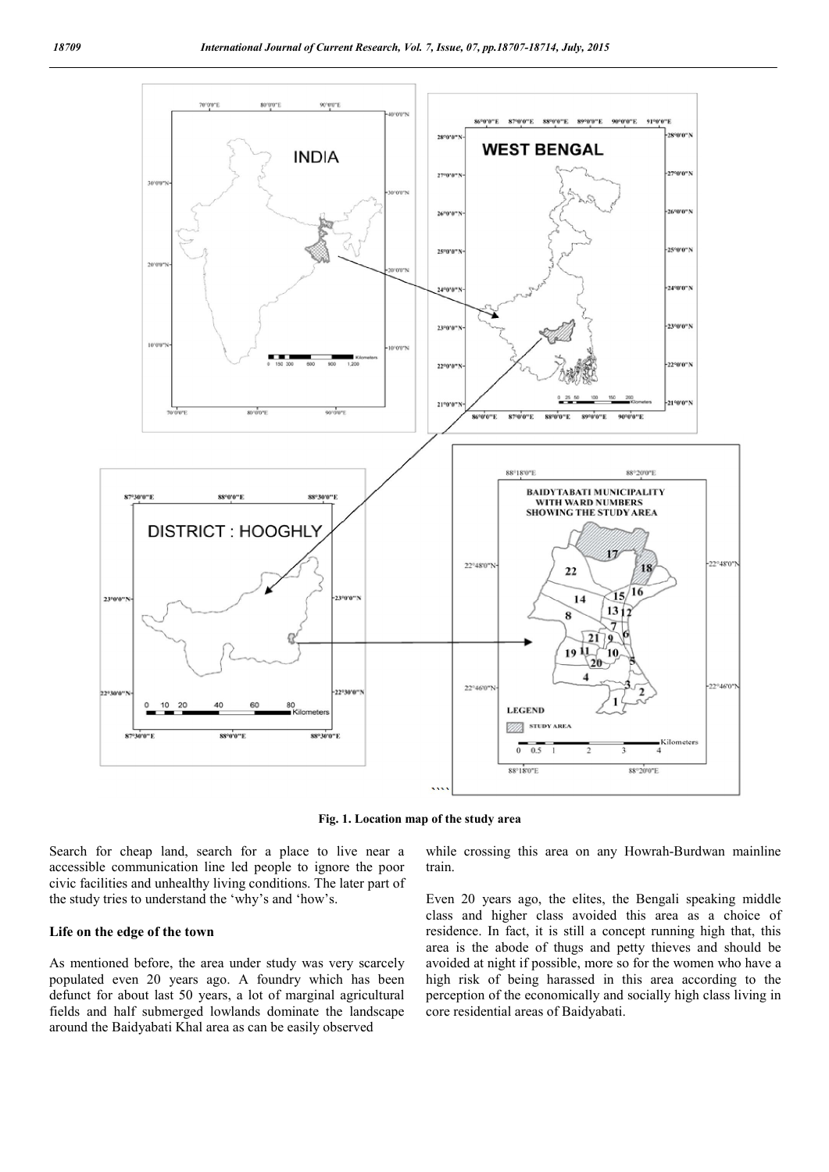

Fig. 1. Location map of the study area

Search for cheap land, search for a place to live near a accessible communication line led people to ignore the poor civic facilities and unhealthy living conditions. The later part of the study tries to understand the 'why's and 'how's.

#### Life on the edge of the town

As mentioned before, the area under study was very scarcely populated even 20 years ago. A foundry which has been defunct for about last 50 years, a lot of marginal agricultural fields and half submerged lowlands dominate the landscape around the Baidyabati Khal area as can be easily observed

while crossing this area on any Howrah-Burdwan mainline train.

Even 20 years ago, the elites, the Bengali speaking middle class and higher class avoided this area as a choice of residence. In fact, it is still a concept running high that, this area is the abode of thugs and petty thieves and should be avoided at night if possible, more so for the women who have a high risk of being harassed in this area according to the perception of the economically and socially high class living in core residential areas of Baidyabati.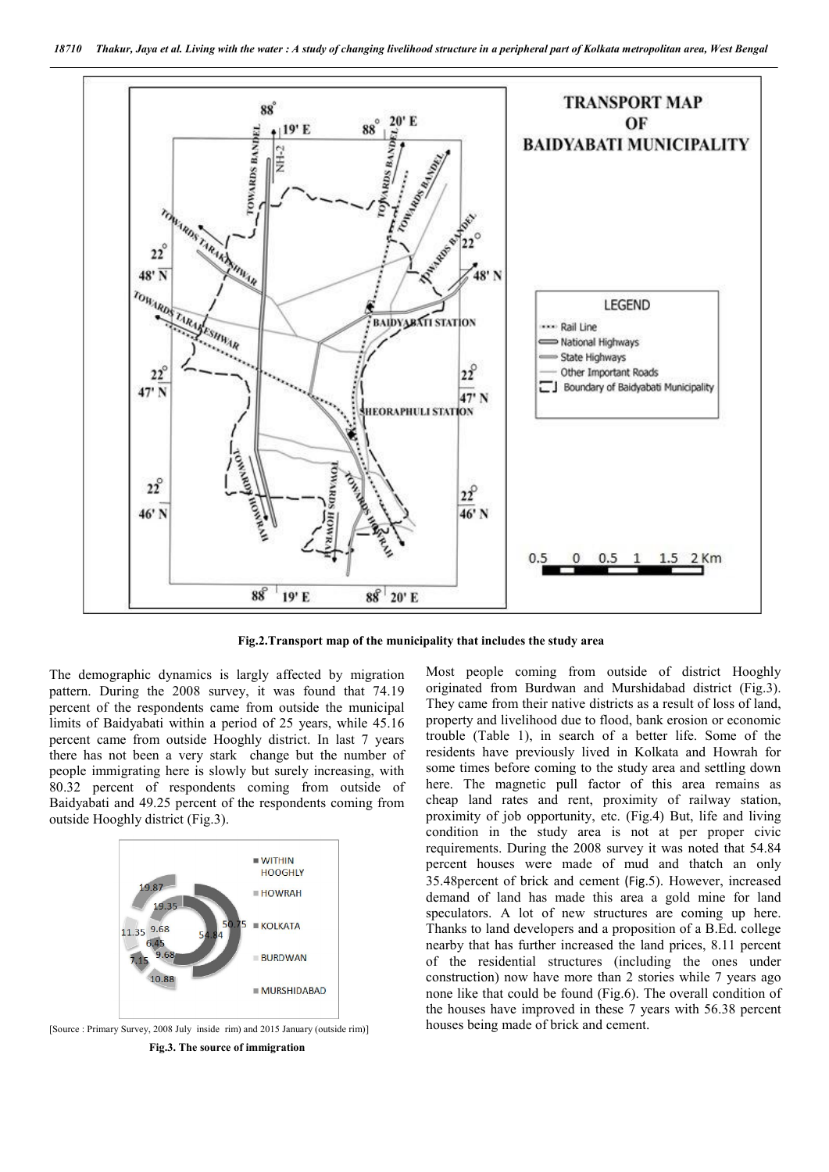

Fig.2.Transport map of the municipality that includes the study area

The demographic dynamics is largly affected by migration pattern. During the 2008 survey, it was found that 74.19 percent of the respondents came from outside the municipal limits of Baidyabati within a period of 25 years, while 45.16 percent came from outside Hooghly district. In last 7 years there has not been a very stark change but the number of people immigrating here is slowly but surely increasing, with 80.32 percent of respondents coming from outside of Baidyabati and 49.25 percent of the respondents coming from outside Hooghly district (Fig.3).



[Source : Primary Survey, 2008 July inside rim) and 2015 January (outside rim)] Fig.3. The source of immigration

Most people coming from outside of district Hooghly originated from Burdwan and Murshidabad district (Fig.3). They came from their native districts as a result of loss of land, property and livelihood due to flood, bank erosion or economic trouble (Table 1), in search of a better life. Some of the residents have previously lived in Kolkata and Howrah for some times before coming to the study area and settling down here. The magnetic pull factor of this area remains as cheap land rates and rent, proximity of railway station, proximity of job opportunity, etc. (Fig.4) But, life and living condition in the study area is not at per proper civic requirements. During the 2008 survey it was noted that 54.84 percent houses were made of mud and thatch an only 35.48percent of brick and cement (Fig.5). However, increased demand of land has made this area a gold mine for land speculators. A lot of new structures are coming up here. Thanks to land developers and a proposition of a B.Ed. college nearby that has further increased the land prices, 8.11 percent of the residential structures (including the ones under construction) now have more than 2 stories while 7 years ago none like that could be found (Fig.6). The overall condition of the houses have improved in these 7 years with 56.38 percent houses being made of brick and cement.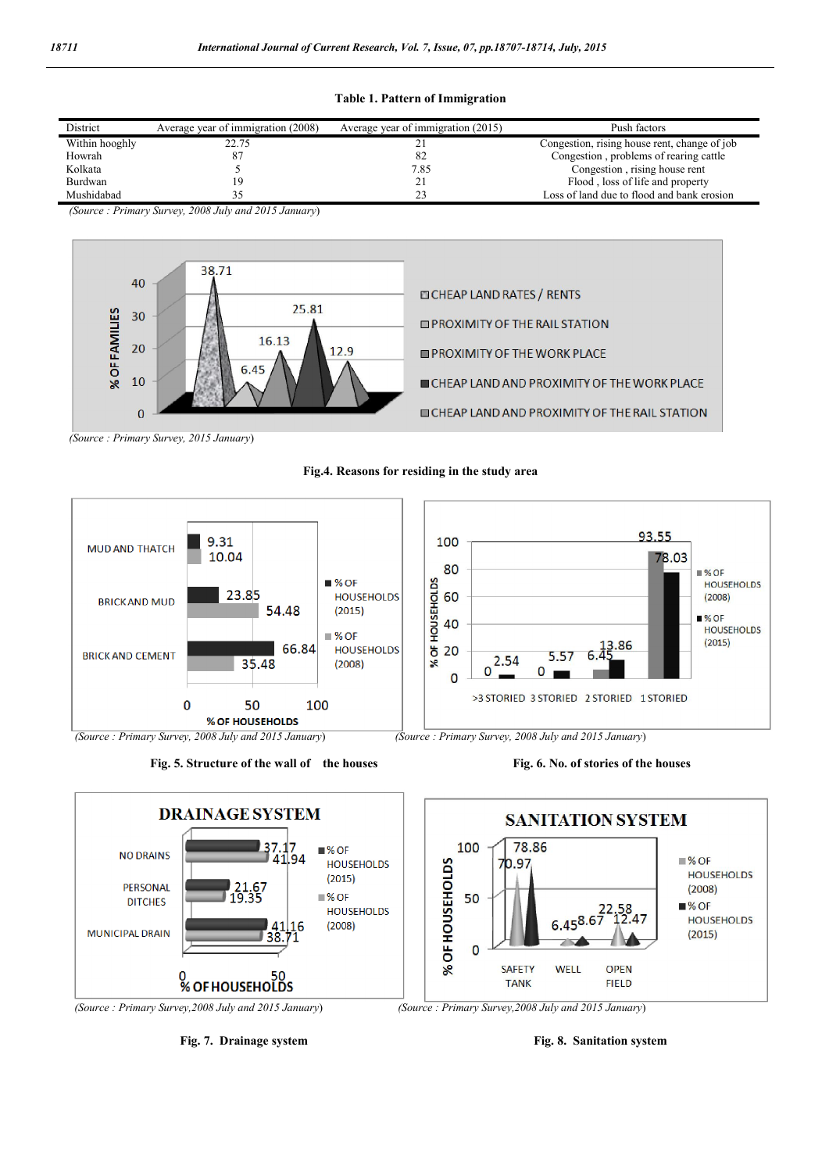Table 1. Pattern of Immigration

| District       | Average year of immigration (2008) | Average year of immigration (2015) | Push factors                                 |
|----------------|------------------------------------|------------------------------------|----------------------------------------------|
| Within hooghly | 22.75                              | 4                                  | Congestion, rising house rent, change of job |
| Howrah         |                                    | 82                                 | Congestion, problems of rearing cattle       |
| Kolkata        |                                    | 7.85                               | Congestion, rising house rent                |
| Burdwan        |                                    | 21                                 | Flood, loss of life and property             |
| Mushidabad     |                                    | ر ے                                | Loss of land due to flood and bank erosion   |

*(Source : Primary Survey, 2008 July and 2015 January*)



*(Source : Primary Survey, 2015 January*)



Fig.4. Reasons for residing in the study area

Fig. 5. Structure of the wall of the houses Fig. 6. No. of stories of the houses

93.55

78.03

 $\sqrt{96}$ OF

■% OF

 $(2008)$ 

 $(2015)$ 

**HOUSEHOLDS** 

**HOUSEHOLDS** 







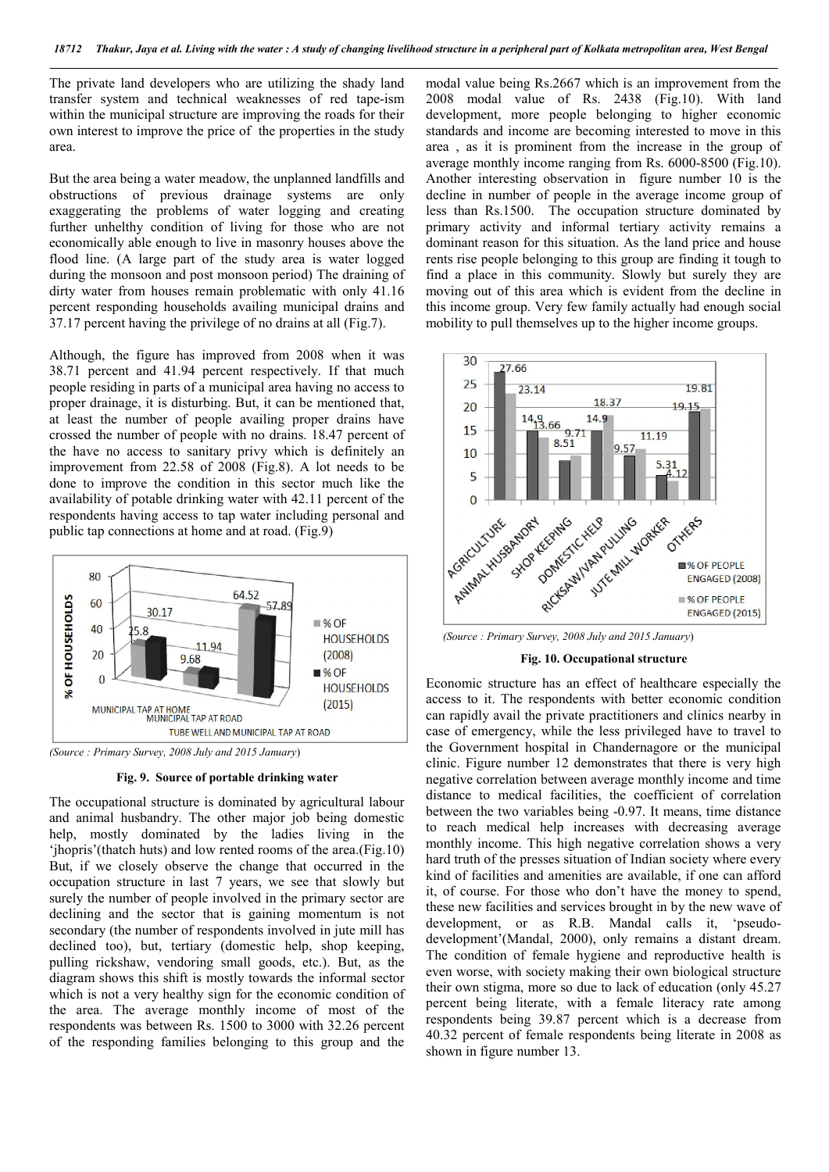The private land developers who are utilizing the shady land transfer system and technical weaknesses of red tape-ism within the municipal structure are improving the roads for their own interest to improve the price of the properties in the study area.

But the area being a water meadow, the unplanned landfills and obstructions of previous drainage systems are only exaggerating the problems of water logging and creating further unhelthy condition of living for those who are not economically able enough to live in masonry houses above the flood line. (A large part of the study area is water logged during the monsoon and post monsoon period) The draining of dirty water from houses remain problematic with only 41.16 percent responding households availing municipal drains and 37.17 percent having the privilege of no drains at all (Fig.7).

Although, the figure has improved from 2008 when it was 38.71 percent and 41.94 percent respectively. If that much people residing in parts of a municipal area having no access to proper drainage, it is disturbing. But, it can be mentioned that, at least the number of people availing proper drains have crossed the number of people with no drains. 18.47 percent of the have no access to sanitary privy which is definitely an improvement from 22.58 of 2008 (Fig.8). A lot needs to be done to improve the condition in this sector much like the availability of potable drinking water with 42.11 percent of the respondents having access to tap water including personal and public tap connections at home and at road. (Fig.9)



*(Source : Primary Survey, 2008 July and 2015 January*)

#### Fig. 9. Source of portable drinking water

The occupational structure is dominated by agricultural labour and animal husbandry. The other major job being domestic help, mostly dominated by the ladies living in the 'jhopris'(thatch huts) and low rented rooms of the area.(Fig.10) But, if we closely observe the change that occurred in the occupation structure in last 7 years, we see that slowly but surely the number of people involved in the primary sector are declining and the sector that is gaining momentum is not secondary (the number of respondents involved in jute mill has declined too), but, tertiary (domestic help, shop keeping, pulling rickshaw, vendoring small goods, etc.). But, as the diagram shows this shift is mostly towards the informal sector which is not a very healthy sign for the economic condition of the area. The average monthly income of most of the respondents was between Rs. 1500 to 3000 with 32.26 percent of the responding families belonging to this group and the

modal value being Rs.2667 which is an improvement from the 2008 modal value of Rs. 2438 (Fig.10). With land development, more people belonging to higher economic standards and income are becoming interested to move in this area , as it is prominent from the increase in the group of average monthly income ranging from Rs. 6000-8500 (Fig.10). Another interesting observation in figure number 10 is the decline in number of people in the average income group of less than Rs.1500. The occupation structure dominated by primary activity and informal tertiary activity remains a dominant reason for this situation. As the land price and house rents rise people belonging to this group are finding it tough to find a place in this community. Slowly but surely they are moving out of this area which is evident from the decline in this income group. Very few family actually had enough social mobility to pull themselves up to the higher income groups.



 *(Source : Primary Survey, 2008 July and 2015 January*)

#### Fig. 10. Occupational structure

Economic structure has an effect of healthcare especially the access to it. The respondents with better economic condition can rapidly avail the private practitioners and clinics nearby in case of emergency, while the less privileged have to travel to the Government hospital in Chandernagore or the municipal clinic. Figure number 12 demonstrates that there is very high negative correlation between average monthly income and time distance to medical facilities, the coefficient of correlation between the two variables being -0.97. It means, time distance to reach medical help increases with decreasing average monthly income. This high negative correlation shows a very hard truth of the presses situation of Indian society where every kind of facilities and amenities are available, if one can afford it, of course. For those who don't have the money to spend, these new facilities and services brought in by the new wave of development, or as R.B. Mandal calls it, 'pseudodevelopment'(Mandal, 2000), only remains a distant dream. The condition of female hygiene and reproductive health is even worse, with society making their own biological structure their own stigma, more so due to lack of education (only 45.27 percent being literate, with a female literacy rate among respondents being 39.87 percent which is a decrease from 40.32 percent of female respondents being literate in 2008 as shown in figure number 13.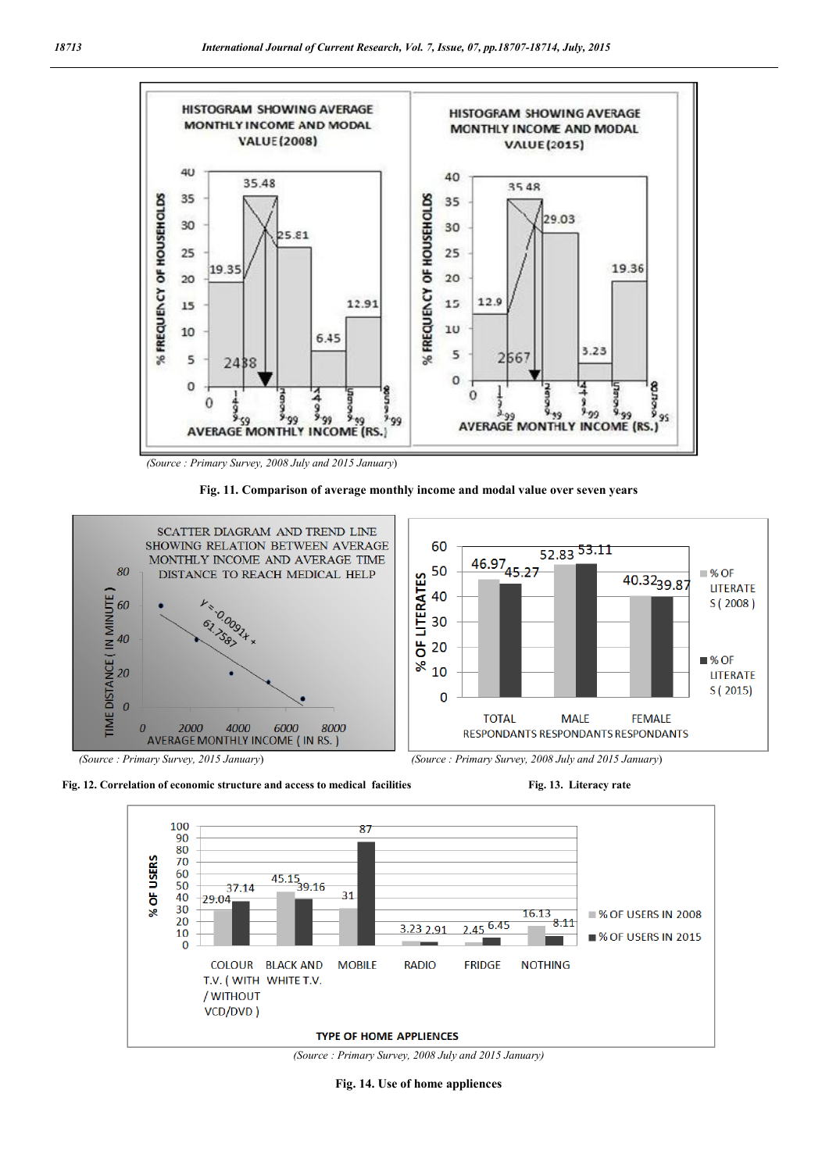

 *(Source : Primary Survey, 2008 July and 2015 January*)













*(Source : Primary Survey, 2008 July and 2015 January)*

Fig. 14. Use of home appliences